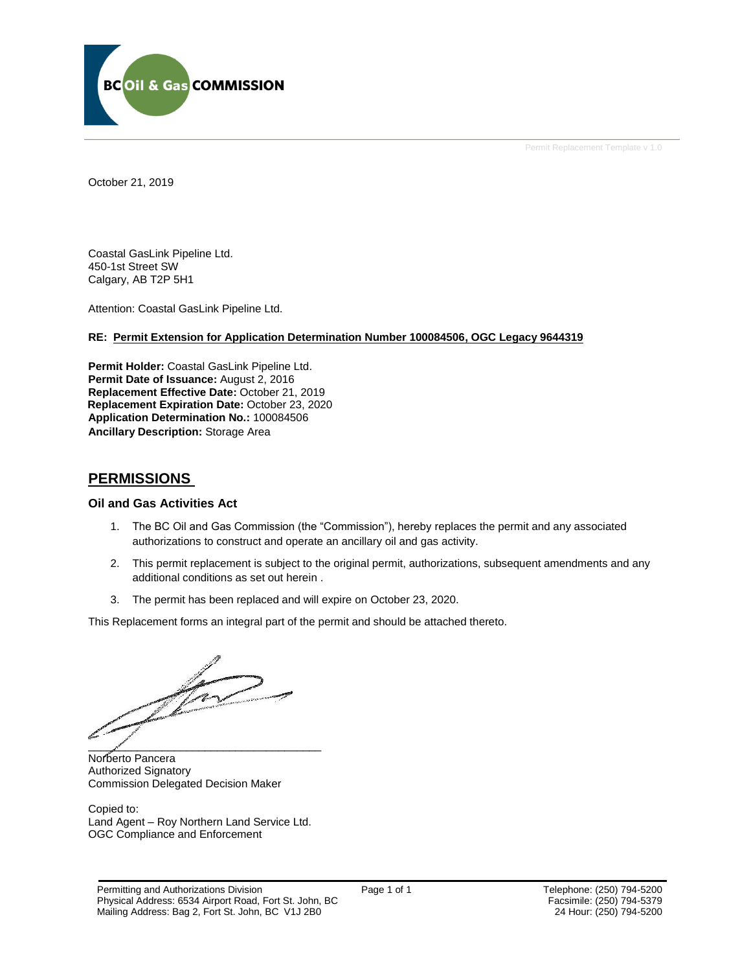

Permit Replacement Template v 1.0

October 21, 2019

Coastal GasLink Pipeline Ltd. 450-1st Street SW Calgary, AB T2P 5H1

Attention: Coastal GasLink Pipeline Ltd.

# **RE: Permit Extension for Application Determination Number 100084506, OGC Legacy 9644319**

**Permit Holder:** Coastal GasLink Pipeline Ltd. Permit Date of Issuance: August 2, 2016 **Replacement Effective Date:** October 21, 2019 **Replacement Expiration Date:** October 23, 2020 **Application Determination No.:** 100084506 **Ancillary Description:** Storage Area

# **PERMISSIONS**

## **Oil and Gas Activities Act**

- 1. The BC Oil and Gas Commission (the "Commission"), hereby replaces the permit and any associated authorizations to construct and operate an ancillary oil and gas activity.
- 2. This permit replacement is subject to the original permit, authorizations, subsequent amendments and any additional conditions as set out herein .
- 3. The permit has been replaced and will expire on October 23, 2020.

This Replacement forms an integral part of the permit and should be attached thereto.

 $\mathcal{L}$ 

Norberto Pancera Authorized Signatory Commission Delegated Decision Maker

Copied to: Land Agent – Roy Northern Land Service Ltd. OGC Compliance and Enforcement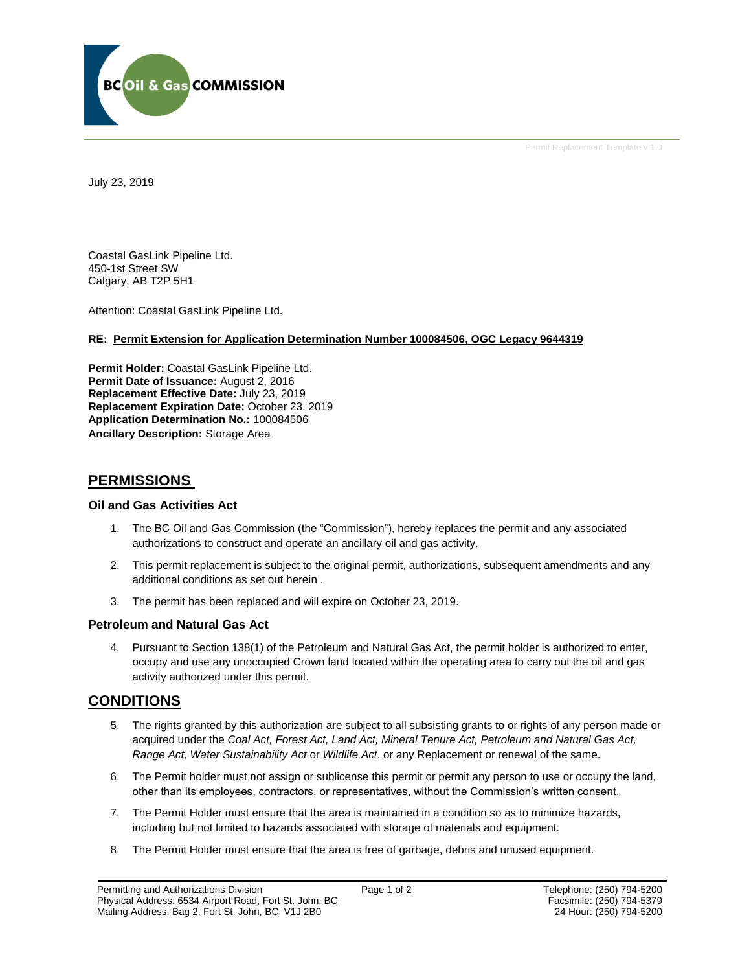

Permit Replacement Template v 1.0

July 23, 2019

Coastal GasLink Pipeline Ltd. 450-1st Street SW Calgary, AB T2P 5H1

Attention: Coastal GasLink Pipeline Ltd.

# **RE: Permit Extension for Application Determination Number 100084506, OGC Legacy 9644319**

**Permit Holder:** Coastal GasLink Pipeline Ltd. **Permit Date of Issuance: August 2, 2016 Replacement Effective Date:** July 23, 2019 **Replacement Expiration Date:** October 23, 2019 **Application Determination No.:** 100084506 **Ancillary Description:** Storage Area

# **PERMISSIONS**

# **Oil and Gas Activities Act**

- 1. The BC Oil and Gas Commission (the "Commission"), hereby replaces the permit and any associated authorizations to construct and operate an ancillary oil and gas activity.
- 2. This permit replacement is subject to the original permit, authorizations, subsequent amendments and any additional conditions as set out herein .
- 3. The permit has been replaced and will expire on October 23, 2019.

# **Petroleum and Natural Gas Act**

4. Pursuant to Section 138(1) of the Petroleum and Natural Gas Act, the permit holder is authorized to enter, occupy and use any unoccupied Crown land located within the operating area to carry out the oil and gas activity authorized under this permit.

# **CONDITIONS**

- 5. The rights granted by this authorization are subject to all subsisting grants to or rights of any person made or acquired under the *Coal Act, Forest Act, Land Act, Mineral Tenure Act, Petroleum and Natural Gas Act, Range Act, Water Sustainability Act* or *Wildlife Act*, or any Replacement or renewal of the same.
- 6. The Permit holder must not assign or sublicense this permit or permit any person to use or occupy the land, other than its employees, contractors, or representatives, without the Commission's written consent.
- 7. The Permit Holder must ensure that the area is maintained in a condition so as to minimize hazards, including but not limited to hazards associated with storage of materials and equipment.
- 8. The Permit Holder must ensure that the area is free of garbage, debris and unused equipment.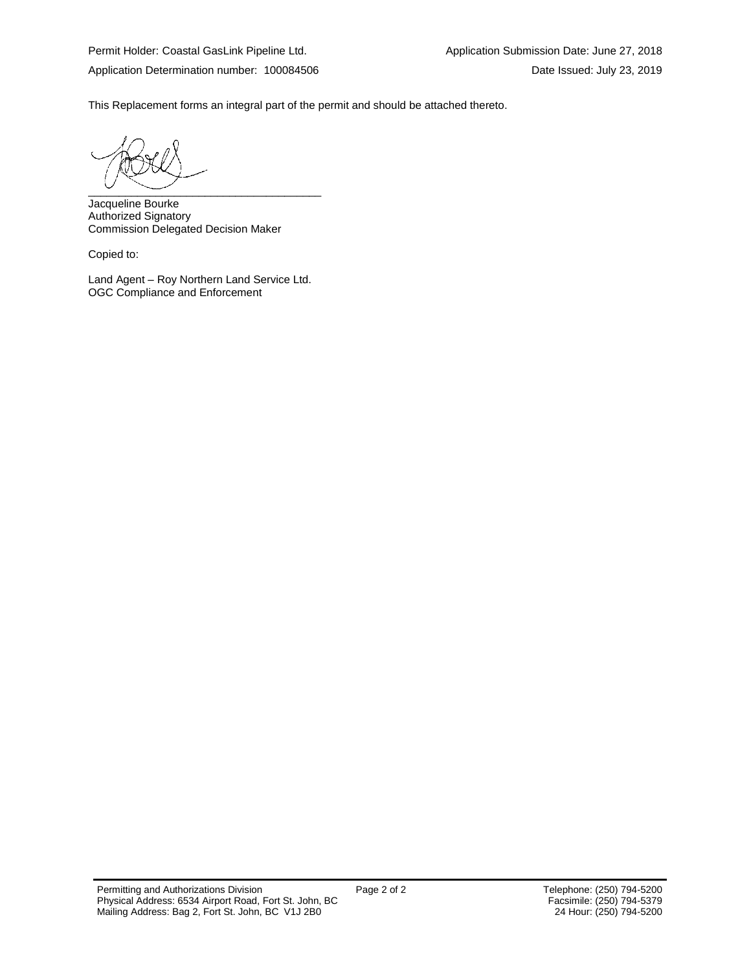This Replacement forms an integral part of the permit and should be attached thereto.

 $\overbrace{\phantom{aaaaaaa}}$ 

Jacqueline Bourke Authorized Signatory Commission Delegated Decision Maker

Copied to:

Land Agent – Roy Northern Land Service Ltd. OGC Compliance and Enforcement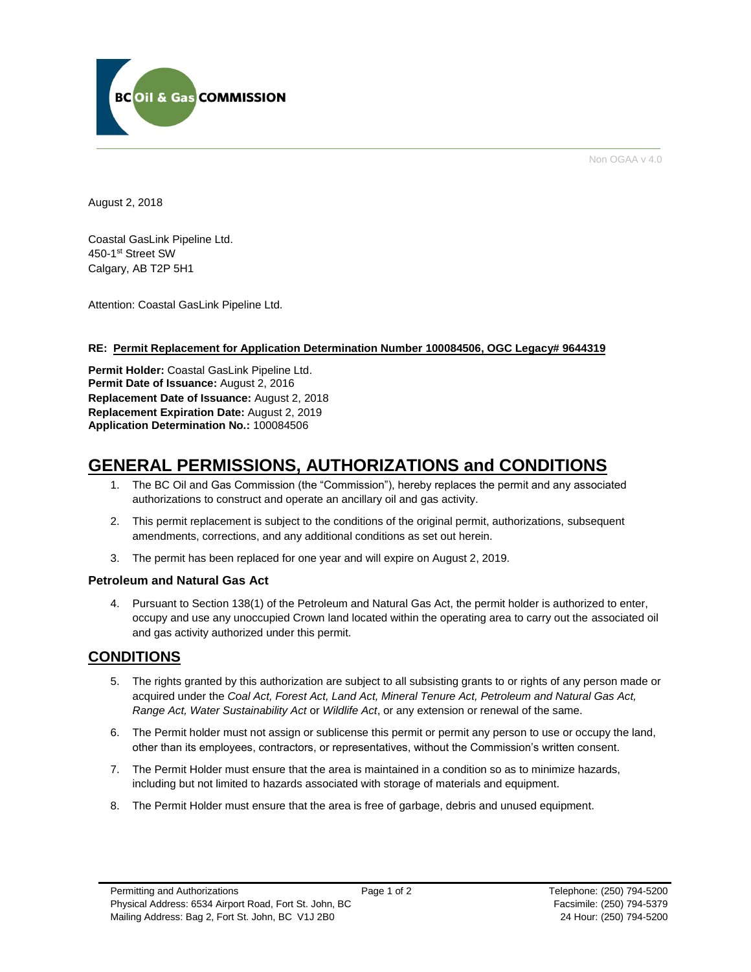

Non OGAA v 4.0

August 2, 2018

Coastal GasLink Pipeline Ltd. 450-1st Street SW Calgary, AB T2P 5H1

Attention: Coastal GasLink Pipeline Ltd.

# **RE: Permit Replacement for Application Determination Number 100084506, OGC Legacy# 9644319**

**Permit Holder:** Coastal GasLink Pipeline Ltd. Permit Date of Issuance: August 2, 2016 **Replacement Date of Issuance:** August 2, 2018 **Replacement Expiration Date:** August 2, 2019 **Application Determination No.:** 100084506

# **GENERAL PERMISSIONS, AUTHORIZATIONS and CONDITIONS**

- 1. The BC Oil and Gas Commission (the "Commission"), hereby replaces the permit and any associated authorizations to construct and operate an ancillary oil and gas activity.
- 2. This permit replacement is subject to the conditions of the original permit, authorizations, subsequent amendments, corrections, and any additional conditions as set out herein.
- 3. The permit has been replaced for one year and will expire on August 2, 2019.

# **Petroleum and Natural Gas Act**

4. Pursuant to Section 138(1) of the Petroleum and Natural Gas Act, the permit holder is authorized to enter, occupy and use any unoccupied Crown land located within the operating area to carry out the associated oil and gas activity authorized under this permit.

# **CONDITIONS**

- 5. The rights granted by this authorization are subject to all subsisting grants to or rights of any person made or acquired under the *Coal Act, Forest Act, Land Act, Mineral Tenure Act, Petroleum and Natural Gas Act, Range Act, Water Sustainability Act* or *Wildlife Act*, or any extension or renewal of the same.
- 6. The Permit holder must not assign or sublicense this permit or permit any person to use or occupy the land, other than its employees, contractors, or representatives, without the Commission's written consent.
- 7. The Permit Holder must ensure that the area is maintained in a condition so as to minimize hazards, including but not limited to hazards associated with storage of materials and equipment.
- 8. The Permit Holder must ensure that the area is free of garbage, debris and unused equipment.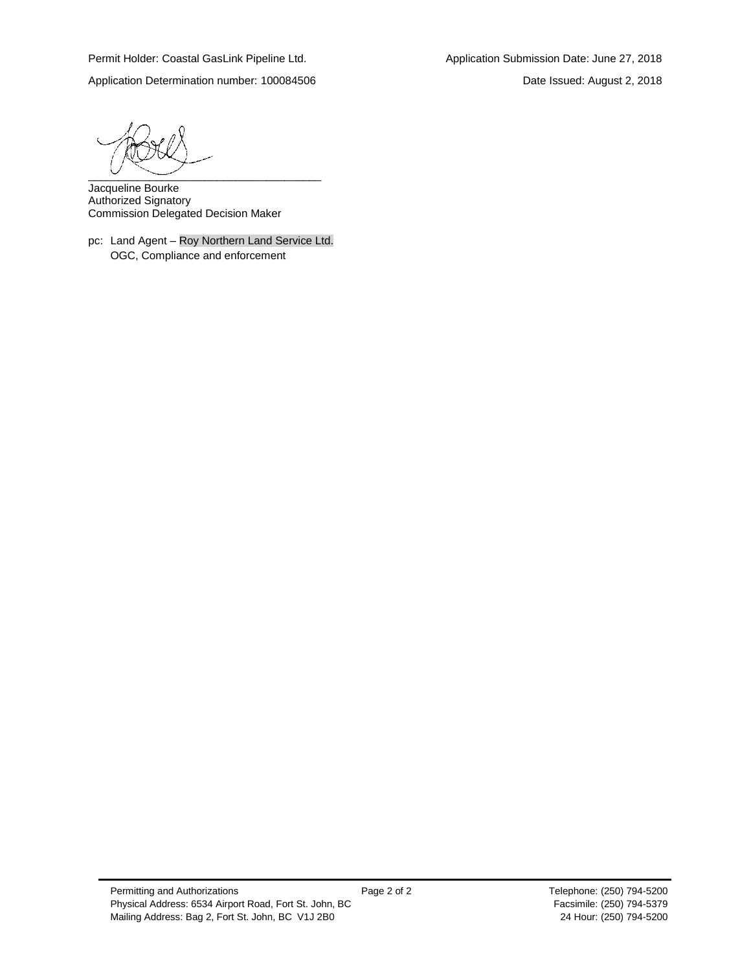Application Determination number: 100084506 Date Issued: August 2, 2018

 $\overline{\phantom{a}}$   $\overline{\phantom{a}}$   $\overline{\phantom{a}}$   $\overline{\phantom{a}}$   $\overline{\phantom{a}}$   $\overline{\phantom{a}}$   $\overline{\phantom{a}}$   $\overline{\phantom{a}}$   $\overline{\phantom{a}}$   $\overline{\phantom{a}}$   $\overline{\phantom{a}}$   $\overline{\phantom{a}}$   $\overline{\phantom{a}}$   $\overline{\phantom{a}}$   $\overline{\phantom{a}}$   $\overline{\phantom{a}}$   $\overline{\phantom{a}}$   $\overline{\phantom{a}}$   $\overline{\$ 

Jacqueline Bourke Authorized Signatory Commission Delegated Decision Maker

pc: Land Agent – Roy Northern Land Service Ltd. OGC, Compliance and enforcement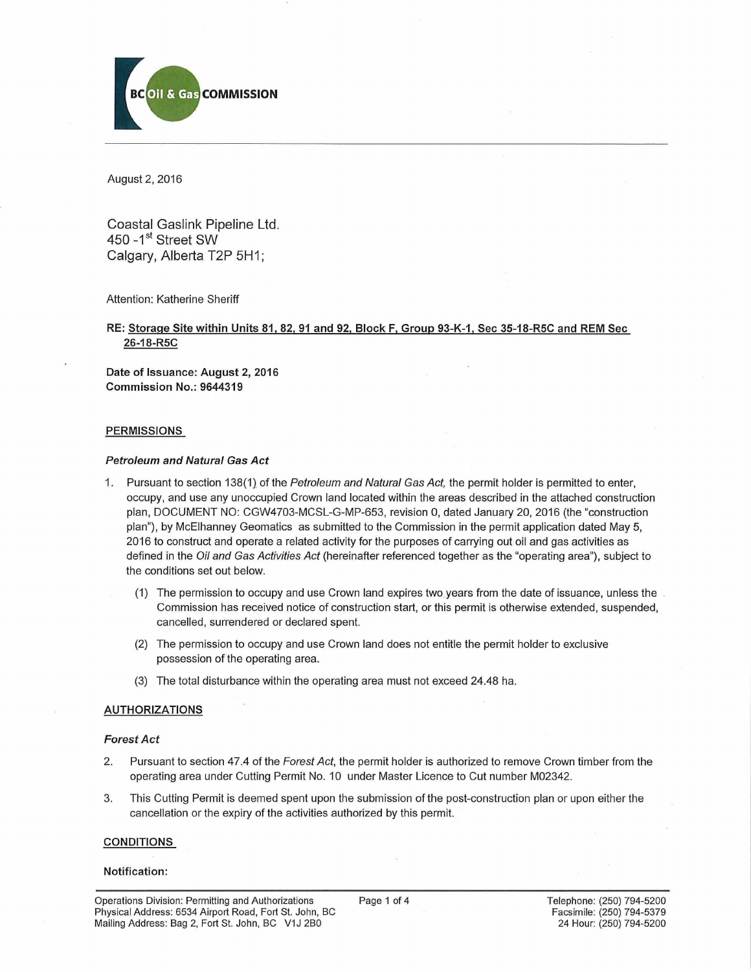

August 2, 2016

Coastal Gaslink Pipeline Ltd. 450 - 1<sup>st</sup> Street SW Calgary, Alberta T2P 5H1;

#### Attention: Katherine Sheriff

RE: Storage Site within Units 81,82, 91 and 92. Block F, Group 93-K-1, Sec 35-18-R5C and REM Sec 26-18-R5C

Date of Issuance: August 2, 2016 Commission No.: 9644319

#### **PERMISSIONS**

#### *Petroleum and Natural Gas Act*

- 1. Pursuant to section 138(1) of the *Petroleum and Natural Gas Act,* the permit holder is permitted to enter, occupy, and use any unoccupied Crown land located within the areas described in the attached construction plan, DOCUMENT NO: CGW4703-MCSL-G-MP-653, revision 0, dated January 20, 2016 (the "construction plan"), by McElhanney Geomatics as submitted to the Commission in the permit application dated May 5, 2016 to construct and operate a related activity for the purposes of carrying out oil and gas activities as defined in the *Oil and Gas Activities Act* (hereinafter referenced together as the "operating area"), subject to the conditions set out below.
	- (1) The permission to occupy and use Crown land expires two years from the date of issuance, unless the Commission has received notice of construction start, or this permit is otherwise extended, suspended, cancelled, surrendered or declared spent.
	- (2) The permission to occupy and use Crown land does not entitle the permit holder to exclusive possession of the operating area.
	- (3) The total disturbance within the operating area must not exceed 24.48 ha.

#### AUTHORIZATIONS

#### *Forest Act*

- 2. Pursuant to section 47.4 of the *Forest Act,* the permit holder is authorized to remove Crown timber from the operating area under Cutting Permit No. 10 under Master Licence to Cut number M02342.
- 3. This Cutting Permit is deemed spent upon the submission of the post-construction plan or upon either the cancellation or the expiry of the activities authorized by this permit.

#### CONDITIONS

#### Notification: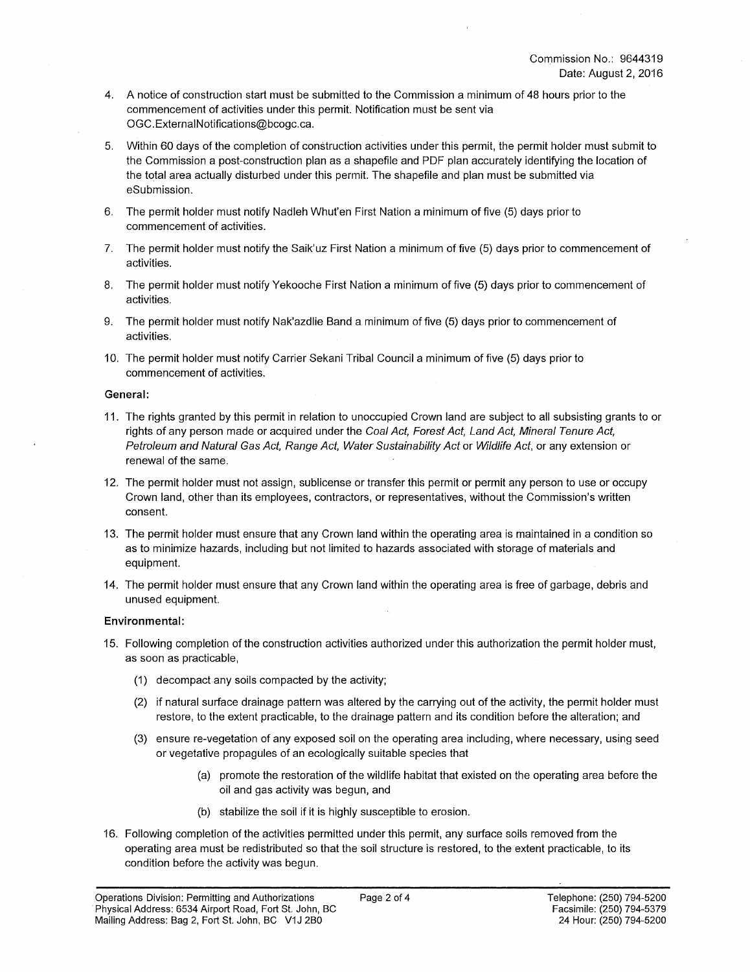- 4. A notice of construction start must be submitted to the Commission a minimum of 48 hours prior to the commencement of activities under this permit. Notification must be sent via [OGC.ExternalNotifications@bcogc.ca.](mailto:OGC.ExternalNotifications@bcogc.ca)
- 5. Within 60 days of the completion of construction activities under this permit, the permit holder must submit to the Commission a post-construction plan as a shapefile and PDF plan accurately identifying the location of the total area actually disturbed under this permit. The shapefile and plan must be submitted via eSubmission.
- 6. The permit holder must notify Nadleh Whut'en First Nation a minimum of five (5) days prior to commencement of activities.
- 7. The permit holder must notify the Saik'uz First Nation a minimum of five (5) days prior to commencement of activities.
- 8. The permit holder must notify Yekooche First Nation a minimum of five (5) days prior to commencement of activities.
- 9. The permit holder must notify Nak'azdlie Band a minimum of five (5) days prior to commencement of activities.
- 10. The permit holder must notify Carrier Sekani Tribal Council a minimum of five (5) days prior to commencement of activities.

#### **General:**

- 11. The rights granted by this permit in relation to unoccupied Crown land are subject to all subsisting grants to or rights of any person made or acquired under the *Coal Act, Forest Act, Land Act, Mineral Tenure Act, Petroleum and Natural Gas Act, Range Act, Water Sustainability Act* or *Wildlife Act,* or any extension or renewal of the same.
- 12. The permit holder must not assign, sublicense or transfer this permit or permit any person to use or occupy Crown land, other than its employees, contractors, or representatives, without the Commission's written consent.
- 13. The permit holder must ensure that any Crown land within the operating area is maintained in a condition so as to minimize hazards, including but not limited to hazards associated with storage of materials and equipment.
- 14. The permit holder must ensure that any Crown land within the operating area is free of garbage, debris and unused equipment.

#### **Environmental:**

- 15. Following completion of the construction activities authorized under this authorization the permit holder must, as soon as practicable,
	- (1) decompact any soils compacted by the activity;
	- (2) if natural surface drainage pattern was altered by the carrying out of the activity, the permit holder must restore, to the extent practicable, to the drainage pattern and its condition before the alteration; and
	- (3) ensure re-vegetation of any exposed soil on the operating area including, where necessary, using seed or vegetative propagules of an ecologically suitable species that
		- (a) promote the restoration of the wildlife habitat that existed on the operating area before the oil and gas activity was begun, and
		- (b) stabilize the soil if it is highly susceptible to erosion.
- 16. Following completion of the activities permitted under this permit, any surface soils removed from the operating area must be redistributed so that the soil structure is restored, to the extent practicable, to its condition before the activity was begun.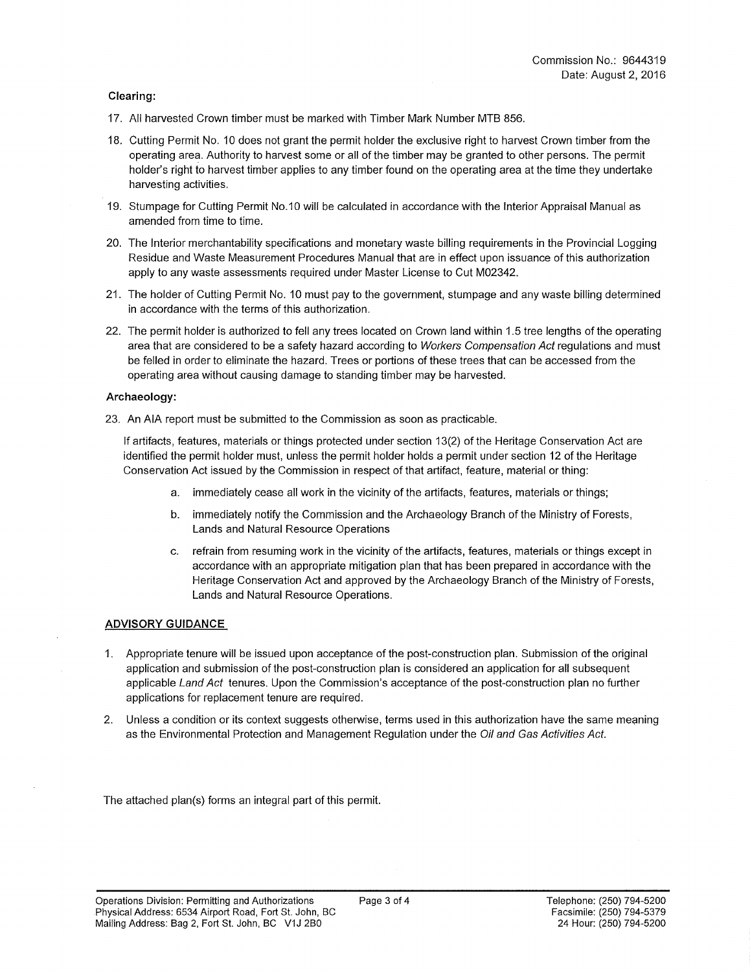## **Clearing:**

- 17. All harvested Crown timber must be marked with Timber Mark Number MTB 856.
- 18. Cutting Permit No. 10 does not grant the permit holder the exclusive right to harvest Crown timber from the operating area. Authority to harvest some or all of the timber may be granted to other persons. The permit holder's right to harvest timber applies to any timber found on the operating area at the time they undertake harvesting activities.
- 19. Stumpage for Cutting Permit No. 10 will be calculated in accordance with the Interior Appraisal Manual as amended from time to time.
- 20. The Interior merchantability specifications and monetary waste billing requirements in the Provincial Logging Residue and Waste Measurement Procedures Manual that are in effect upon issuance of this authorization apply to any waste assessments required under Master License to Cut M02342.
- 21. The holder of Cutting Permit No. 10 must pay to the government, stumpage and any waste billing determined in accordance with the terms of this authorization.
- 22. The permit holder is authorized to fell any trees located on Crown land within 1.5 tree lengths of the operating area that are considered to be a safety hazard according to *Workers Compensation Act* regulations and must be felled in order to eliminate the hazard. Trees or portions of these trees that can be accessed from the operating area without causing damage to standing timber may be harvested.

#### **Archaeology:**

23. An AIA report must be submitted to the Commission as soon as practicable.

If artifacts, features, materials or things protected under section 13(2) of the Heritage Conservation Act are identified the permit holder must, unless the permit holder holds a permit under section 12 of the Heritage Conservation Act issued by the Commission in respect of that artifact, feature, material or thing:

- a. immediately cease all work in the vicinity of the artifacts, features, materials or things;
- b. immediately notify the Commission and the Archaeology Branch of the Ministry of Forests, Lands and Natural Resource Operations
- c. refrain from resuming work in the vicinity of the artifacts, features, materials or things except in accordance with an appropriate mitigation plan that has been prepared in accordance with the Heritage Conservation Act and approved by the Archaeology Branch of the Ministry of Forests, Lands and Natural Resource Operations.

#### **ADVISORY GUIDANCE**

- 1. Appropriate tenure will be issued upon acceptance of the post-construction plan. Submission of the original application and submission of the post-construction plan is considered an application for all subsequent applicable *Land Act* tenures. Upon the Commission's acceptance of the post-construction plan no further applications for replacement tenure are required.
- 2. Unless a condition or its context suggests otherwise, terms used in this authorization have the same meaning as the Environmental Protection and Management Regulation under the *Oil and Gas Activities Act.*

The attached plan(s) forms an integral part of this permit.